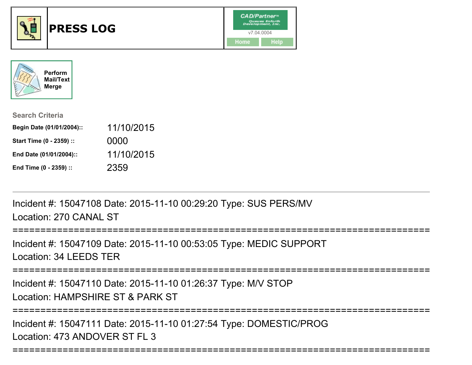



| <b>Search Criteria</b>    |            |
|---------------------------|------------|
| Begin Date (01/01/2004):: | 11/10/2015 |
| Start Time (0 - 2359) ::  | 0000       |
| End Date (01/01/2004)::   | 11/10/2015 |
| End Time (0 - 2359) ::    | 2359       |

Incident #: 15047108 Date: 2015-11-10 00:29:20 Type: SUS PERS/MVLocation: 270 CANAL ST

=================

Incident #: 15047109 Date: 2015-11-10 00:53:05 Type: MEDIC SUPPORTLocation: 34 LEEDS TER

===========================================================================

Incident #: 15047110 Date: 2015-11-10 01:26:37 Type: M/V STOPLocation: HAMPSHIRE ST & PARK ST

===========================================================================

===========================================================================

Incident #: 15047111 Date: 2015-11-10 01:27:54 Type: DOMESTIC/PROGLocation: 473 ANDOVER ST FL 3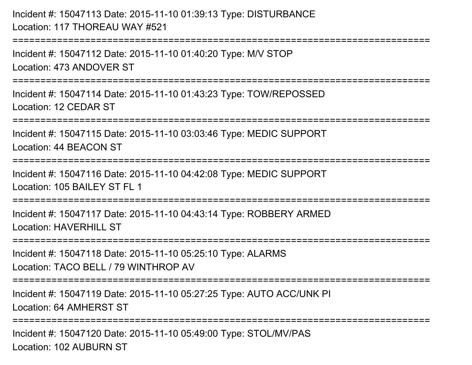Incident #: 15047113 Date: 2015-11-10 01:39:13 Type: DISTURBANCELocation: 117 THOREAU WAY #521

===========================================================================

Incident #: 15047112 Date: 2015-11-10 01:40:20 Type: M/V STOPLocation: 473 ANDOVER ST

===========================================================================

Incident #: 15047114 Date: 2015-11-10 01:43:23 Type: TOW/REPOSSEDLocation: 12 CEDAR ST

===========================================================================

Incident #: 15047115 Date: 2015-11-10 03:03:46 Type: MEDIC SUPPORT

Location: 44 BEACON ST

```
============================
```
Incident #: 15047116 Date: 2015-11-10 04:42:08 Type: MEDIC SUPPORTLocation: 105 BAILEY ST FL 1

===========================================================================

Incident #: 15047117 Date: 2015-11-10 04:43:14 Type: ROBBERY ARMEDLocation: HAVERHILL ST

===========================================================================

Incident #: 15047118 Date: 2015-11-10 05:25:10 Type: ALARMS

Location: TACO BELL / 79 WINTHROP AV

===========================================================================

Incident #: 15047119 Date: 2015-11-10 05:27:25 Type: AUTO ACC/UNK PILocation: 64 AMHERST ST

===========================================================================

Incident #: 15047120 Date: 2015-11-10 05:49:00 Type: STOL/MV/PASLocation: 102 AUBURN ST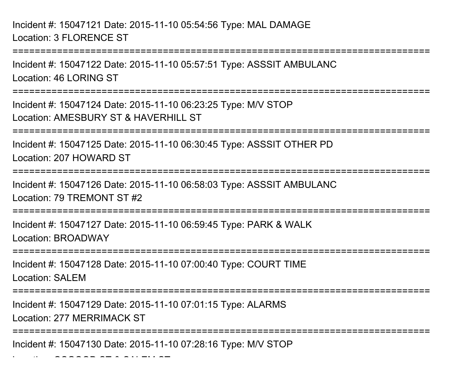Incident #: 15047121 Date: 2015-11-10 05:54:56 Type: MAL DAMAGELocation: 3 FLORENCE ST

 $\overline{\phantom{a}}$ 

===================== Incident #: 15047122 Date: 2015-11-10 05:57:51 Type: ASSSIT AMBULANCLocation: 46 LORING ST======================= Incident #: 15047124 Date: 2015-11-10 06:23:25 Type: M/V STOPLocation: AMESBURY ST & HAVERHILL ST ===========================================================================Incident #: 15047125 Date: 2015-11-10 06:30:45 Type: ASSSIT OTHER PDLocation: 207 HOWARD ST===========================================================================Incident #: 15047126 Date: 2015-11-10 06:58:03 Type: ASSSIT AMBULANCLocation: 79 TREMONT ST #2===========================================================================Incident #: 15047127 Date: 2015-11-10 06:59:45 Type: PARK & WALKLocation: BROADWAY===========================================================================Incident #: 15047128 Date: 2015-11-10 07:00:40 Type: COURT TIMELocation: SALEM ===========================================================================Incident #: 15047129 Date: 2015-11-10 07:01:15 Type: ALARMSLocation: 277 MERRIMACK ST===========================================================================Incident #: 15047130 Date: 2015-11-10 07:28:16 Type: M/V STOP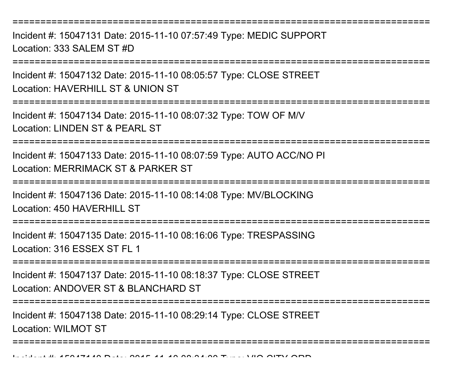===========================================================================

Incident #: 15047131 Date: 2015-11-10 07:57:49 Type: MEDIC SUPPORTLocation: 333 SALEM ST #D

**==============** 

Incident #: 15047132 Date: 2015-11-10 08:05:57 Type: CLOSE STREETLocation: HAVERHILL ST & UNION ST

===========================================================================

Incident #: 15047134 Date: 2015-11-10 08:07:32 Type: TOW OF M/VLocation: LINDEN ST & PEARL ST

===========================================================================

Incident #: 15047133 Date: 2015-11-10 08:07:59 Type: AUTO ACC/NO PILocation: MERRIMACK ST & PARKER ST

===========================================================================

Incident #: 15047136 Date: 2015-11-10 08:14:08 Type: MV/BLOCKINGLocation: 450 HAVERHILL ST

===========================================================================

Incident #: 15047135 Date: 2015-11-10 08:16:06 Type: TRESPASSINGLocation: 316 ESSEX ST FL 1

===========================================================================

Incident #: 15047137 Date: 2015-11-10 08:18:37 Type: CLOSE STREETLocation: ANDOVER ST & BLANCHARD ST

===========================================================================

Incident #: 15047138 Date: 2015-11-10 08:29:14 Type: CLOSE STREETLocation: WILMOT ST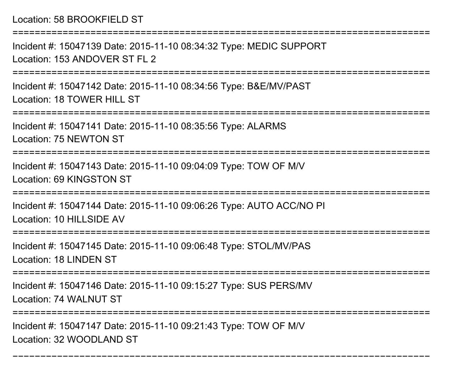## Location: 58 BROOKFIELD ST

===========================================================================Incident #: 15047139 Date: 2015-11-10 08:34:32 Type: MEDIC SUPPORTLocation: 153 ANDOVER ST FL 2===========================================================================Incident #: 15047142 Date: 2015-11-10 08:34:56 Type: B&E/MV/PASTLocation: 18 TOWER HILL ST ===========================================================================Incident #: 15047141 Date: 2015-11-10 08:35:56 Type: ALARMSLocation: 75 NEWTON ST===========================================================================Incident #: 15047143 Date: 2015-11-10 09:04:09 Type: TOW OF M/VLocation: 69 KINGSTON ST===========================================================================Incident #: 15047144 Date: 2015-11-10 09:06:26 Type: AUTO ACC/NO PILocation: 10 HILLSIDE AV===========================================================================Incident #: 15047145 Date: 2015-11-10 09:06:48 Type: STOL/MV/PASLocation: 18 LINDEN ST===========================================================================Incident #: 15047146 Date: 2015-11-10 09:15:27 Type: SUS PERS/MVLocation: 74 WALNUT ST===========================================================================Incident #: 15047147 Date: 2015-11-10 09:21:43 Type: TOW OF M/V

===========================================================================

Location: 32 WOODLAND ST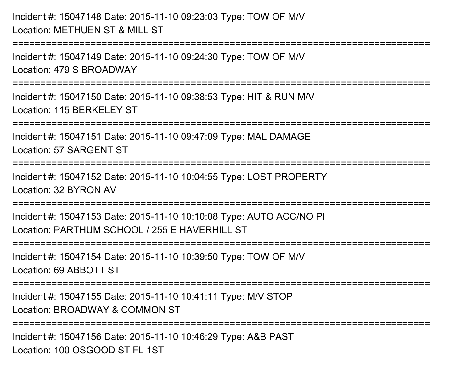```
Incident #: 15047148 Date: 2015-11-10 09:23:03 Type: TOW OF M/VLocation: METHUEN ST & MILL ST===========================================================================Incident #: 15047149 Date: 2015-11-10 09:24:30 Type: TOW OF M/VLocation: 479 S BROADWAY===========================================================================Incident #: 15047150 Date: 2015-11-10 09:38:53 Type: HIT & RUN M/VLocation: 115 BERKEL FY ST
 ===========================================================================Incident #: 15047151 Date: 2015-11-10 09:47:09 Type: MAL DAMAGELocation: 57 SARGENT ST===========================================================================Incident #: 15047152 Date: 2015-11-10 10:04:55 Type: LOST PROPERTYLocation: 32 BYRON AV===========================================================================Incident #: 15047153 Date: 2015-11-10 10:10:08 Type: AUTO ACC/NO PILocation: PARTHUM SCHOOL / 255 F HAVERHILL ST
===========================================================================Incident #: 15047154 Date: 2015-11-10 10:39:50 Type: TOW OF M/VLocation: 69 ABBOTT ST===========================================================================Incident #: 15047155 Date: 2015-11-10 10:41:11 Type: M/V STOPLocation: BROADWAY & COMMON ST===========================================================================Incident #: 15047156 Date: 2015-11-10 10:46:29 Type: A&B PASTLocation: 100 OSGOOD ST FL 1ST
```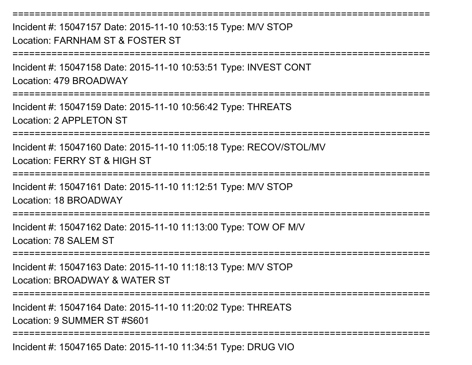===========================================================================Incident #: 15047157 Date: 2015-11-10 10:53:15 Type: M/V STOPLocation: FARNHAM ST & FOSTER ST===========================================================================Incident #: 15047158 Date: 2015-11-10 10:53:51 Type: INVEST CONTLocation: 479 BROADWAY===========================================================================Incident #: 15047159 Date: 2015-11-10 10:56:42 Type: THREATSLocation: 2 APPL FTON ST ===========================================================================Incident #: 15047160 Date: 2015-11-10 11:05:18 Type: RECOV/STOL/MVLocation: FERRY ST & HIGH ST============================= Incident #: 15047161 Date: 2015-11-10 11:12:51 Type: M/V STOPLocation: 18 BROADWAY===========================================================================Incident #: 15047162 Date: 2015-11-10 11:13:00 Type: TOW OF M/VLocation: 78 SALEM ST===========================================================================Incident #: 15047163 Date: 2015-11-10 11:18:13 Type: M/V STOPLocation: BROADWAY & WATER ST===========================================================================Incident #: 15047164 Date: 2015-11-10 11:20:02 Type: THREATSLocation: 9 SUMMER ST #S601===========================================================================Incident #: 15047165 Date: 2015-11-10 11:34:51 Type: DRUG VIO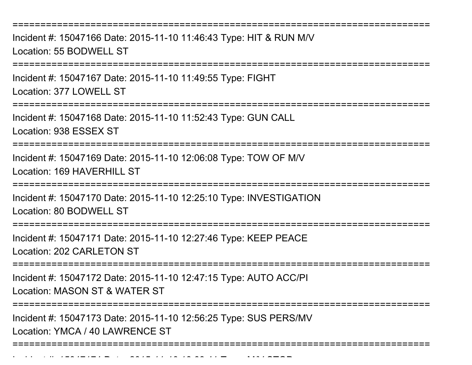===========================================================================

Incident #: 15047166 Date: 2015-11-10 11:46:43 Type: HIT & RUN M/VLocation: 55 BODWELL ST

===========================================================================

Incident #: 15047167 Date: 2015-11-10 11:49:55 Type: FIGHTLocation: 377 LOWELL ST

===========================================================================

Incident #: 15047168 Date: 2015-11-10 11:52:43 Type: GUN CALLLocation: 938 ESSEX ST

===========================================================================

Incident #: 15047169 Date: 2015-11-10 12:06:08 Type: TOW OF M/VLocation: 169 HAVERHILL ST

===========================================================================

Incident #: 15047170 Date: 2015-11-10 12:25:10 Type: INVESTIGATIONLocation: 80 BODWELL ST

===========================================================================

Incident #: 15047171 Date: 2015-11-10 12:27:46 Type: KEEP PEACELocation: 202 CARLETON ST

===========================================================================

Incident #: 15047172 Date: 2015-11-10 12:47:15 Type: AUTO ACC/PI

Location: MASON ST & WATER ST

Incident #: 15047174 Date: 2015

===========================================================================

Incident #: 15047173 Date: 2015-11-10 12:56:25 Type: SUS PERS/MVLocation: YMCA / 40 LAWRENCE ST

===========================================================================

- *11 13:13:33:41* Type: M*inte*sse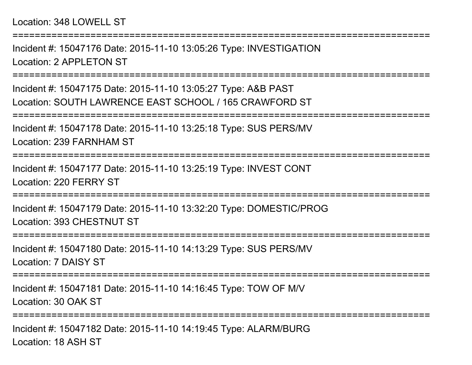## Location: 348 LOWELL ST

Incident #: 15047176 Date: 2015-11-10 13:05:26 Type: INVESTIGATIONLocation: 2 APPLETON ST

===========================================================================

===========================================================================

Incident #: 15047175 Date: 2015-11-10 13:05:27 Type: A&B PASTLocation: SOUTH LAWRENCE EAST SCHOOL / 165 CRAWFORD ST

=========================

Incident #: 15047178 Date: 2015-11-10 13:25:18 Type: SUS PERS/MVLocation: 239 FARNHAM ST

===========================================================================

Incident #: 15047177 Date: 2015-11-10 13:25:19 Type: INVEST CONTLocation: 220 FERRY ST

**==============** 

Incident #: 15047179 Date: 2015-11-10 13:32:20 Type: DOMESTIC/PROGLocation: 393 CHESTNUT ST

===========================================================================

Incident #: 15047180 Date: 2015-11-10 14:13:29 Type: SUS PERS/MVLocation: 7 DAISY ST

===========================================================================

Incident #: 15047181 Date: 2015-11-10 14:16:45 Type: TOW OF M/VLocation: 30 OAK ST

===========================================================================

Incident #: 15047182 Date: 2015-11-10 14:19:45 Type: ALARM/BURGLocation: 18 ASH ST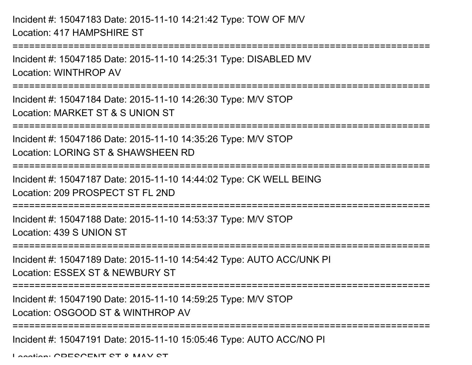```
Incident #: 15047183 Date: 2015-11-10 14:21:42 Type: TOW OF M/VLocation: 417 HAMPSHIRE ST===========================================================================Incident #: 15047185 Date: 2015-11-10 14:25:31 Type: DISABLED MV
```
Location: WINTHROP AV

===========================================================================

Incident #: 15047184 Date: 2015-11-10 14:26:30 Type: M/V STOPLocation: MARKET ST & S UNION ST

===========================================================================

Incident #: 15047186 Date: 2015-11-10 14:35:26 Type: M/V STOP

Location: LORING ST & SHAWSHEEN RD

===========================================================================

Incident #: 15047187 Date: 2015-11-10 14:44:02 Type: CK WELL BEING

Location: 209 PROSPECT ST FL 2ND

===========================================================================

Incident #: 15047188 Date: 2015-11-10 14:53:37 Type: M/V STOPLocation: 439 S UNION ST

===========================================================================

Incident #: 15047189 Date: 2015-11-10 14:54:42 Type: AUTO ACC/UNK PI

Location: ESSEX ST & NEWBURY ST

===========================================================================

Incident #: 15047190 Date: 2015-11-10 14:59:25 Type: M/V STOP

Location: OSGOOD ST & WINTHROP AV

===========================================================================

Incident #: 15047191 Date: 2015-11-10 15:05:46 Type: AUTO ACC/NO PI

Location: CDECCENT CT & MAY CT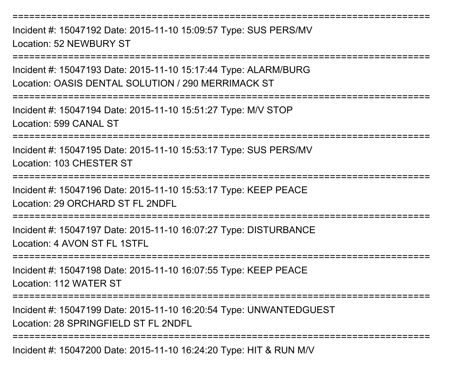===========================================================================

Incident #: 15047192 Date: 2015-11-10 15:09:57 Type: SUS PERS/MVLocation: 52 NEWBURY ST

===========================================================================Incident #: 15047193 Date: 2015-11-10 15:17:44 Type: ALARM/BURGLocation: OASIS DENTAL SOLUTION / 290 MERRIMACK ST===========================================================================Incident #: 15047194 Date: 2015-11-10 15:51:27 Type: M/V STOPLocation: 599 CANAL ST===========================================================================Incident #: 15047195 Date: 2015-11-10 15:53:17 Type: SUS PERS/MVLocation: 103 CHESTER ST===========================================================================Incident #: 15047196 Date: 2015-11-10 15:53:17 Type: KEEP PEACELocation: 29 ORCHARD ST FL 2NDFL===========================================================================Incident #: 15047197 Date: 2015-11-10 16:07:27 Type: DISTURBANCELocation: 4 AVON ST FL 1STFL===========================================================================

Incident #: 15047198 Date: 2015-11-10 16:07:55 Type: KEEP PEACE

Location: 112 WATER ST

===========================================================================

Incident #: 15047199 Date: 2015-11-10 16:20:54 Type: UNWANTEDGUESTLocation: 28 SPRINGFIFLD ST FL 2NDFL

===========================================================================

Incident #: 15047200 Date: 2015-11-10 16:24:20 Type: HIT & RUN M/V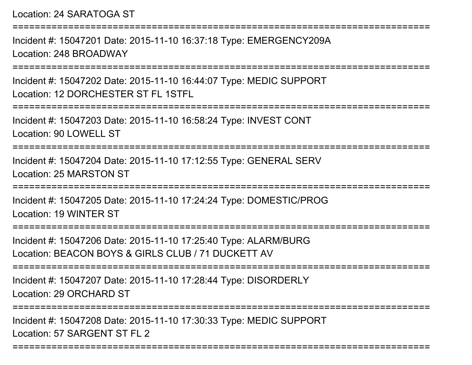Location: 24 SARATOGA ST

===========================================================================Incident #: 15047201 Date: 2015-11-10 16:37:18 Type: EMERGENCY209ALocation: 248 BROADWAY===========================================================================Incident #: 15047202 Date: 2015-11-10 16:44:07 Type: MEDIC SUPPORTLocation: 12 DORCHESTER ST FL 1STFL===========================================================================Incident #: 15047203 Date: 2015-11-10 16:58:24 Type: INVEST CONTLocation: 90 LOWELL ST===========================================================================Incident #: 15047204 Date: 2015-11-10 17:12:55 Type: GENERAL SERVLocation: 25 MARSTON ST===========================================================================Incident #: 15047205 Date: 2015-11-10 17:24:24 Type: DOMESTIC/PROGLocation: 19 WINTER ST===========================================================================Incident #: 15047206 Date: 2015-11-10 17:25:40 Type: ALARM/BURGLocation: BEACON BOYS & GIRLS CLUB / 71 DUCKETT AV ===========================================================================Incident #: 15047207 Date: 2015-11-10 17:28:44 Type: DISORDERLYLocation: 29 ORCHARD ST===========================================================================Incident #: 15047208 Date: 2015-11-10 17:30:33 Type: MEDIC SUPPORTLocation: 57 SARGENT ST FL 2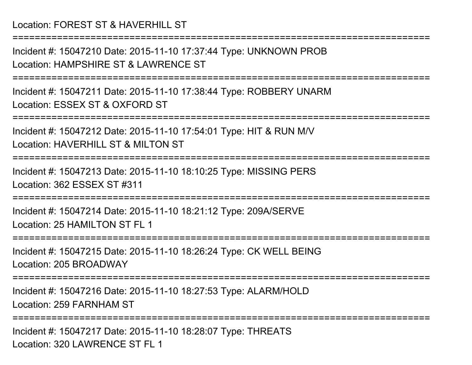Location: FOREST ST & HAVERHILL ST

Incident #: 15047210 Date: 2015-11-10 17:37:44 Type: UNKNOWN PROBLocation: HAMPSHIRE ST & LAWRENCE ST

===========================================================================

===========================================================================

Incident #: 15047211 Date: 2015-11-10 17:38:44 Type: ROBBERY UNARMLocation: ESSEX ST & OXFORD ST

===========================================================================

Incident #: 15047212 Date: 2015-11-10 17:54:01 Type: HIT & RUN M/VLocation: HAVERHILL ST & MILTON ST

===========================================================================

Incident #: 15047213 Date: 2015-11-10 18:10:25 Type: MISSING PERSLocation: 362 ESSEX ST #311

===========================================================================

Incident #: 15047214 Date: 2015-11-10 18:21:12 Type: 209A/SERVELocation: 25 HAMILTON ST FL 1

===========================================================================

Incident #: 15047215 Date: 2015-11-10 18:26:24 Type: CK WELL BEINGLocation: 205 BROADWAY

===========================================================================

Incident #: 15047216 Date: 2015-11-10 18:27:53 Type: ALARM/HOLDLocation: 259 FARNHAM ST

===========================================================================

Incident #: 15047217 Date: 2015-11-10 18:28:07 Type: THREATSLocation: 320 LAWRENCE ST FL 1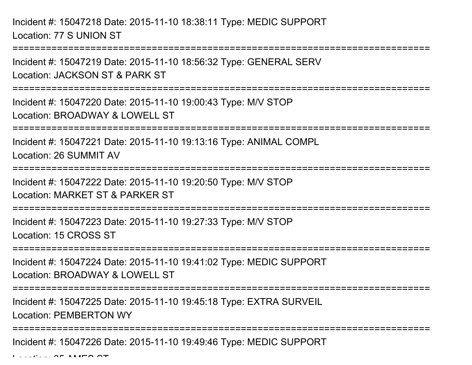Incident #: 15047218 Date: 2015-11-10 18:38:11 Type: MEDIC SUPPORTLocation: 77 S UNION ST

===========================================================================Incident #: 15047219 Date: 2015-11-10 18:56:32 Type: GENERAL SERVLocation: JACKSON ST & PARK ST===========================================================================Incident #: 15047220 Date: 2015-11-10 19:00:43 Type: M/V STOPLocation: BROADWAY & LOWELL ST===========================================================================Incident #: 15047221 Date: 2015-11-10 19:13:16 Type: ANIMAL COMPLLocation: 26 SUMMIT AV===========================================================================Incident #: 15047222 Date: 2015-11-10 19:20:50 Type: M/V STOPLocation: MARKET ST & PARKER ST===========================================================================Incident #: 15047223 Date: 2015-11-10 19:27:33 Type: M/V STOPLocation: 15 CROSS ST===========================================================================Incident #: 15047224 Date: 2015-11-10 19:41:02 Type: MEDIC SUPPORTLocation: BROADWAY & LOWELL ST ===========================================================================Incident #: 15047225 Date: 2015-11-10 19:45:18 Type: EXTRA SURVEILLocation: PEMBERTON WY===========================================================================

Incident #: 15047226 Date: 2015-11-10 19:49:46 Type: MEDIC SUPPORT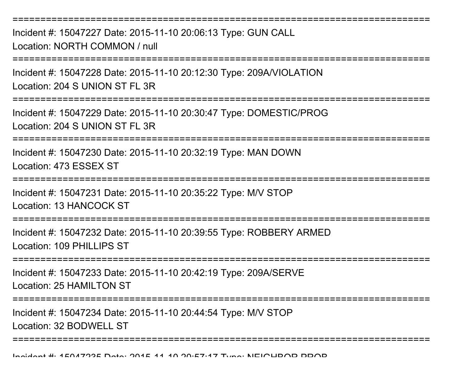===========================================================================Incident #: 15047227 Date: 2015-11-10 20:06:13 Type: GUN CALLLocation: NORTH COMMON / null===========================================================================Incident #: 15047228 Date: 2015-11-10 20:12:30 Type: 209A/VIOLATIONLocation: 204 S UNION ST FL 3R

===========================================================================

Incident #: 15047229 Date: 2015-11-10 20:30:47 Type: DOMESTIC/PROGLocation: 204 S UNION ST FL 3R

===========================================================================

Incident #: 15047230 Date: 2015-11-10 20:32:19 Type: MAN DOWNLocation: 473 ESSEX ST

=======================

Incident #: 15047231 Date: 2015-11-10 20:35:22 Type: M/V STOPLocation: 13 HANCOCK ST

===========================================================================

Incident #: 15047232 Date: 2015-11-10 20:39:55 Type: ROBBERY ARMEDLocation: 109 PHILLIPS ST

===========================================================================

Incident #: 15047233 Date: 2015-11-10 20:42:19 Type: 209A/SERVELocation: 25 HAMILTON ST

===========================================================================

Incident #: 15047234 Date: 2015-11-10 20:44:54 Type: M/V STOP

Location: 32 BODWELL ST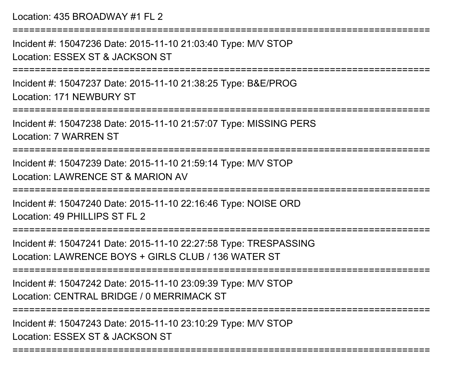Location: 435 BROADWAY #1 FL 2

===========================================================================Incident #: 15047236 Date: 2015-11-10 21:03:40 Type: M/V STOPLocation: ESSEX ST & JACKSON ST===========================================================================Incident #: 15047237 Date: 2015-11-10 21:38:25 Type: B&E/PROGLocation: 171 NEWBURY ST===========================================================================Incident #: 15047238 Date: 2015-11-10 21:57:07 Type: MISSING PERSLocation: 7 WARREN ST===========================================================================Incident #: 15047239 Date: 2015-11-10 21:59:14 Type: M/V STOPLocation: LAWRENCE ST & MARION AV===========================================================================Incident #: 15047240 Date: 2015-11-10 22:16:46 Type: NOISE ORDLocation: 49 PHILLIPS ST FL 2 ===========================================================================Incident #: 15047241 Date: 2015-11-10 22:27:58 Type: TRESPASSINGLocation: LAWRENCE BOYS + GIRLS CLUB / 136 WATER ST ===========================================================================Incident #: 15047242 Date: 2015-11-10 23:09:39 Type: M/V STOPLocation: CENTRAL BRIDGE / 0 MERRIMACK ST===========================================================================Incident #: 15047243 Date: 2015-11-10 23:10:29 Type: M/V STOPLocation: ESSEX ST & JACKSON ST